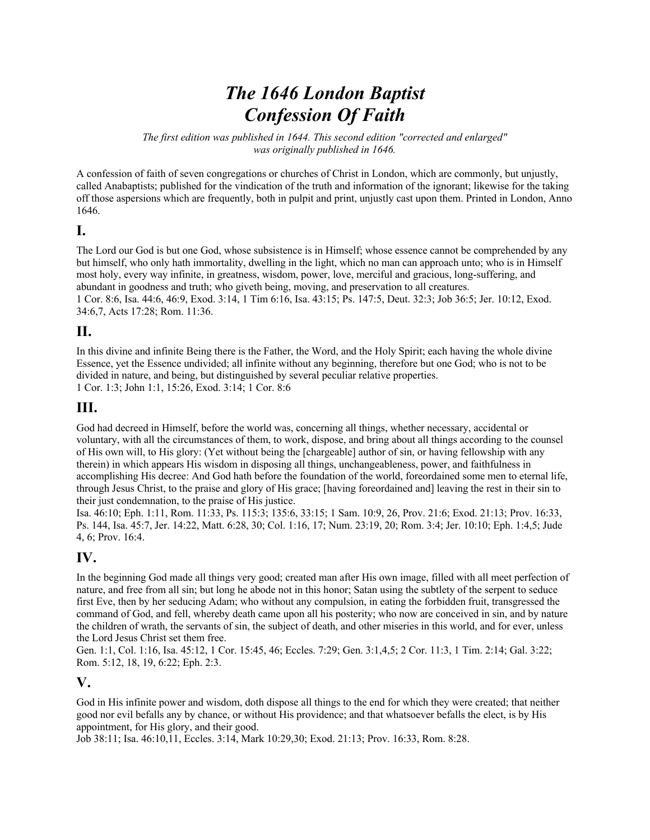# *The 1646 London Baptist Confession Of Faith*

*The first edition was published in 1644. This second edition "corrected and enlarged" was originally published in 1646.* 

A confession of faith of seven congregations or churches of Christ in London, which are commonly, but unjustly, called Anabaptists; published for the vindication of the truth and information of the ignorant; likewise for the taking off those aspersions which are frequently, both in pulpit and print, unjustly cast upon them. Printed in London, Anno 1646.

#### **I.**

The Lord our God is but one God, whose subsistence is in Himself; whose essence cannot be comprehended by any but himself, who only hath immortality, dwelling in the light, which no man can approach unto; who is in Himself most holy, every way infinite, in greatness, wisdom, power, love, merciful and gracious, long-suffering, and abundant in goodness and truth; who giveth being, moving, and preservation to all creatures. 1 Cor. 8:6, Isa. 44:6, 46:9, Exod. 3:14, 1 Tim 6:16, Isa. 43:15; Ps. 147:5, Deut. 32:3; Job 36:5; Jer. 10:12, Exod. 34:6,7, Acts 17:28; Rom. 11:36.

#### **II.**

In this divine and infinite Being there is the Father, the Word, and the Holy Spirit; each having the whole divine Essence, yet the Essence undivided; all infinite without any beginning, therefore but one God; who is not to be divided in nature, and being, but distinguished by several peculiar relative properties. 1 Cor. 1:3; John 1:1, 15:26, Exod. 3:14; 1 Cor. 8:6

#### **III.**

God had decreed in Himself, before the world was, concerning all things, whether necessary, accidental or voluntary, with all the circumstances of them, to work, dispose, and bring about all things according to the counsel of His own will, to His glory: (Yet without being the [chargeable] author of sin, or having fellowship with any therein) in which appears His wisdom in disposing all things, unchangeableness, power, and faithfulness in accomplishing His decree: And God hath before the foundation of the world, foreordained some men to eternal life, through Jesus Christ, to the praise and glory of His grace; [having foreordained and] leaving the rest in their sin to their just condemnation, to the praise of His justice.

Isa. 46:10; Eph. 1:11, Rom. 11:33, Ps. 115:3; 135:6, 33:15; 1 Sam. 10:9, 26, Prov. 21:6; Exod. 21:13; Prov. 16:33, Ps. 144, Isa. 45:7, Jer. 14:22, Matt. 6:28, 30; Col. 1:16, 17; Num. 23:19, 20; Rom. 3:4; Jer. 10:10; Eph. 1:4,5; Jude 4, 6; Prov. 16:4.

#### **IV.**

In the beginning God made all things very good; created man after His own image, filled with all meet perfection of nature, and free from all sin; but long he abode not in this honor; Satan using the subtlety of the serpent to seduce first Eve, then by her seducing Adam; who without any compulsion, in eating the forbidden fruit, transgressed the command of God, and fell, whereby death came upon all his posterity; who now are conceived in sin, and by nature the children of wrath, the servants of sin, the subject of death, and other miseries in this world, and for ever, unless the Lord Jesus Christ set them free.

Gen. 1:1, Col. 1:16, Isa. 45:12, 1 Cor. 15:45, 46; Eccles. 7:29; Gen. 3:1,4,5; 2 Cor. 11:3, 1 Tim. 2:14; Gal. 3:22; Rom. 5:12, 18, 19, 6:22; Eph. 2:3.

#### **V.**

God in His infinite power and wisdom, doth dispose all things to the end for which they were created; that neither good nor evil befalls any by chance, or without His providence; and that whatsoever befalls the elect, is by His appointment, for His glory, and their good.

Job 38:11; Isa. 46:10,11, Eccles. 3:14, Mark 10:29,30; Exod. 21:13; Prov. 16:33, Rom. 8:28.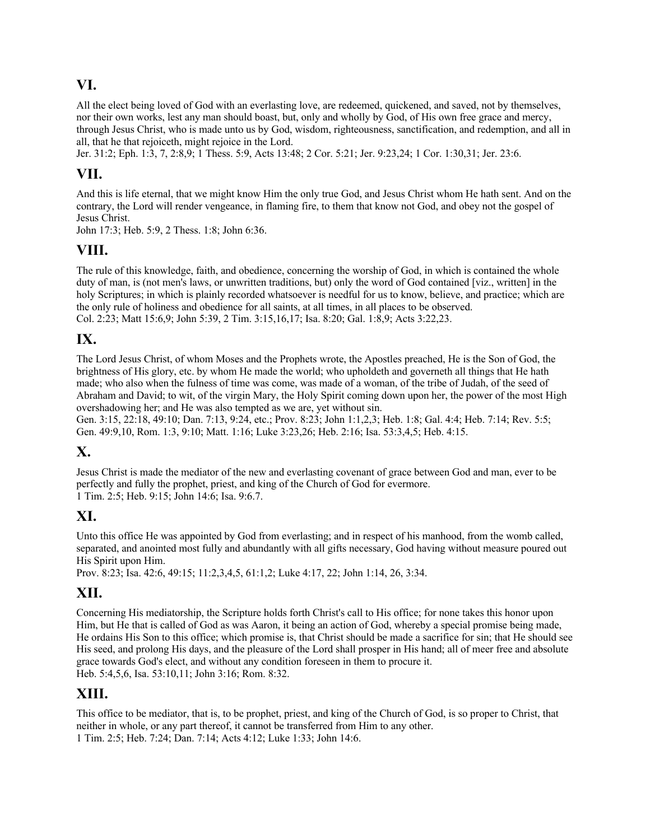#### **VI.**

All the elect being loved of God with an everlasting love, are redeemed, quickened, and saved, not by themselves, nor their own works, lest any man should boast, but, only and wholly by God, of His own free grace and mercy, through Jesus Christ, who is made unto us by God, wisdom, righteousness, sanctification, and redemption, and all in all, that he that rejoiceth, might rejoice in the Lord.

Jer. 31:2; Eph. 1:3, 7, 2:8,9; 1 Thess. 5:9, Acts 13:48; 2 Cor. 5:21; Jer. 9:23,24; 1 Cor. 1:30,31; Jer. 23:6.

#### **VII.**

And this is life eternal, that we might know Him the only true God, and Jesus Christ whom He hath sent. And on the contrary, the Lord will render vengeance, in flaming fire, to them that know not God, and obey not the gospel of Jesus Christ.

John 17:3; Heb. 5:9, 2 Thess. 1:8; John 6:36.

#### **VIII.**

The rule of this knowledge, faith, and obedience, concerning the worship of God, in which is contained the whole duty of man, is (not men's laws, or unwritten traditions, but) only the word of God contained [viz., written] in the holy Scriptures; in which is plainly recorded whatsoever is needful for us to know, believe, and practice; which are the only rule of holiness and obedience for all saints, at all times, in all places to be observed. Col. 2:23; Matt 15:6,9; John 5:39, 2 Tim. 3:15,16,17; Isa. 8:20; Gal. 1:8,9; Acts 3:22,23.

#### **IX.**

The Lord Jesus Christ, of whom Moses and the Prophets wrote, the Apostles preached, He is the Son of God, the brightness of His glory, etc. by whom He made the world; who upholdeth and governeth all things that He hath made; who also when the fulness of time was come, was made of a woman, of the tribe of Judah, of the seed of Abraham and David; to wit, of the virgin Mary, the Holy Spirit coming down upon her, the power of the most High overshadowing her; and He was also tempted as we are, yet without sin.

Gen. 3:15, 22:18, 49:10; Dan. 7:13, 9:24, etc.; Prov. 8:23; John 1:1,2,3; Heb. 1:8; Gal. 4:4; Heb. 7:14; Rev. 5:5; Gen. 49:9,10, Rom. 1:3, 9:10; Matt. 1:16; Luke 3:23,26; Heb. 2:16; Isa. 53:3,4,5; Heb. 4:15.

### **X.**

Jesus Christ is made the mediator of the new and everlasting covenant of grace between God and man, ever to be perfectly and fully the prophet, priest, and king of the Church of God for evermore. 1 Tim. 2:5; Heb. 9:15; John 14:6; Isa. 9:6.7.

#### **XI.**

Unto this office He was appointed by God from everlasting; and in respect of his manhood, from the womb called, separated, and anointed most fully and abundantly with all gifts necessary, God having without measure poured out His Spirit upon Him.

Prov. 8:23; Isa. 42:6, 49:15; 11:2,3,4,5, 61:1,2; Luke 4:17, 22; John 1:14, 26, 3:34.

#### **XII.**

Concerning His mediatorship, the Scripture holds forth Christ's call to His office; for none takes this honor upon Him, but He that is called of God as was Aaron, it being an action of God, whereby a special promise being made, He ordains His Son to this office; which promise is, that Christ should be made a sacrifice for sin; that He should see His seed, and prolong His days, and the pleasure of the Lord shall prosper in His hand; all of meer free and absolute grace towards God's elect, and without any condition foreseen in them to procure it. Heb. 5:4,5,6, Isa. 53:10,11; John 3:16; Rom. 8:32.

#### **XIII.**

This office to be mediator, that is, to be prophet, priest, and king of the Church of God, is so proper to Christ, that neither in whole, or any part thereof, it cannot be transferred from Him to any other. 1 Tim. 2:5; Heb. 7:24; Dan. 7:14; Acts 4:12; Luke 1:33; John 14:6.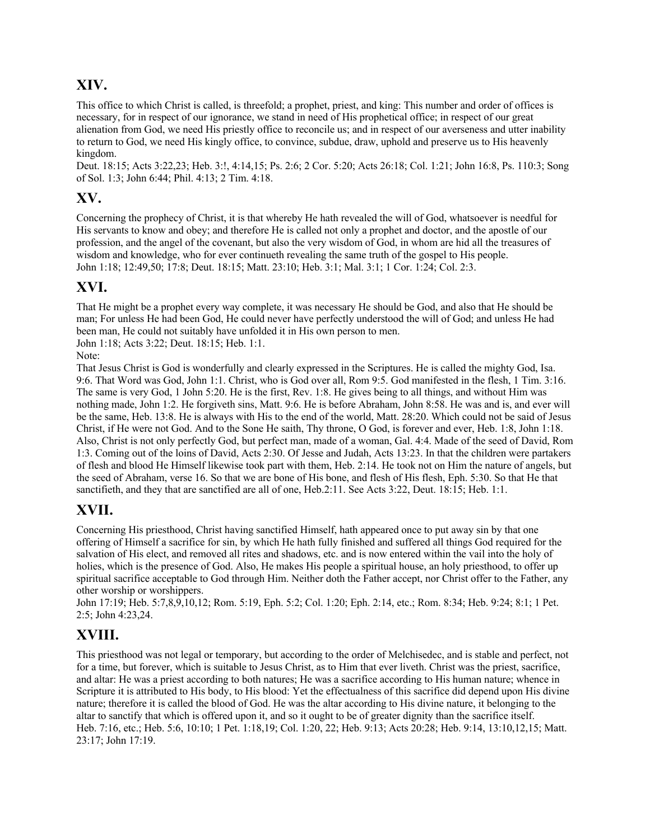### **XIV.**

This office to which Christ is called, is threefold; a prophet, priest, and king: This number and order of offices is necessary, for in respect of our ignorance, we stand in need of His prophetical office; in respect of our great alienation from God, we need His priestly office to reconcile us; and in respect of our averseness and utter inability to return to God, we need His kingly office, to convince, subdue, draw, uphold and preserve us to His heavenly kingdom.

Deut. 18:15; Acts 3:22,23; Heb. 3:!, 4:14,15; Ps. 2:6; 2 Cor. 5:20; Acts 26:18; Col. 1:21; John 16:8, Ps. 110:3; Song of Sol. 1:3; John 6:44; Phil. 4:13; 2 Tim. 4:18.

#### **XV.**

Concerning the prophecy of Christ, it is that whereby He hath revealed the will of God, whatsoever is needful for His servants to know and obey; and therefore He is called not only a prophet and doctor, and the apostle of our profession, and the angel of the covenant, but also the very wisdom of God, in whom are hid all the treasures of wisdom and knowledge, who for ever continueth revealing the same truth of the gospel to His people. John 1:18; 12:49,50; 17:8; Deut. 18:15; Matt. 23:10; Heb. 3:1; Mal. 3:1; 1 Cor. 1:24; Col. 2:3.

#### **XVI.**

That He might be a prophet every way complete, it was necessary He should be God, and also that He should be man; For unless He had been God, He could never have perfectly understood the will of God; and unless He had been man, He could not suitably have unfolded it in His own person to men.

John 1:18; Acts 3:22; Deut. 18:15; Heb. 1:1.

Note:

That Jesus Christ is God is wonderfully and clearly expressed in the Scriptures. He is called the mighty God, Isa. 9:6. That Word was God, John 1:1. Christ, who is God over all, Rom 9:5. God manifested in the flesh, 1 Tim. 3:16. The same is very God, 1 John 5:20. He is the first, Rev. 1:8. He gives being to all things, and without Him was nothing made, John 1:2. He forgiveth sins, Matt. 9:6. He is before Abraham, John 8:58. He was and is, and ever will be the same, Heb. 13:8. He is always with His to the end of the world, Matt. 28:20. Which could not be said of Jesus Christ, if He were not God. And to the Sone He saith, Thy throne, O God, is forever and ever, Heb. 1:8, John 1:18. Also, Christ is not only perfectly God, but perfect man, made of a woman, Gal. 4:4. Made of the seed of David, Rom 1:3. Coming out of the loins of David, Acts 2:30. Of Jesse and Judah, Acts 13:23. In that the children were partakers of flesh and blood He Himself likewise took part with them, Heb. 2:14. He took not on Him the nature of angels, but the seed of Abraham, verse 16. So that we are bone of His bone, and flesh of His flesh, Eph. 5:30. So that He that sanctifieth, and they that are sanctified are all of one, Heb.2:11. See Acts 3:22, Deut. 18:15; Heb. 1:1.

### **XVII.**

Concerning His priesthood, Christ having sanctified Himself, hath appeared once to put away sin by that one offering of Himself a sacrifice for sin, by which He hath fully finished and suffered all things God required for the salvation of His elect, and removed all rites and shadows, etc. and is now entered within the vail into the holy of holies, which is the presence of God. Also, He makes His people a spiritual house, an holy priesthood, to offer up spiritual sacrifice acceptable to God through Him. Neither doth the Father accept, nor Christ offer to the Father, any other worship or worshippers.

John 17:19; Heb. 5:7,8,9,10,12; Rom. 5:19, Eph. 5:2; Col. 1:20; Eph. 2:14, etc.; Rom. 8:34; Heb. 9:24; 8:1; 1 Pet. 2:5; John 4:23,24.

## **XVIII.**

This priesthood was not legal or temporary, but according to the order of Melchisedec, and is stable and perfect, not for a time, but forever, which is suitable to Jesus Christ, as to Him that ever liveth. Christ was the priest, sacrifice, and altar: He was a priest according to both natures; He was a sacrifice according to His human nature; whence in Scripture it is attributed to His body, to His blood: Yet the effectualness of this sacrifice did depend upon His divine nature; therefore it is called the blood of God. He was the altar according to His divine nature, it belonging to the altar to sanctify that which is offered upon it, and so it ought to be of greater dignity than the sacrifice itself. Heb. 7:16, etc.; Heb. 5:6, 10:10; 1 Pet. 1:18,19; Col. 1:20, 22; Heb. 9:13; Acts 20:28; Heb. 9:14, 13:10,12,15; Matt. 23:17; John 17:19.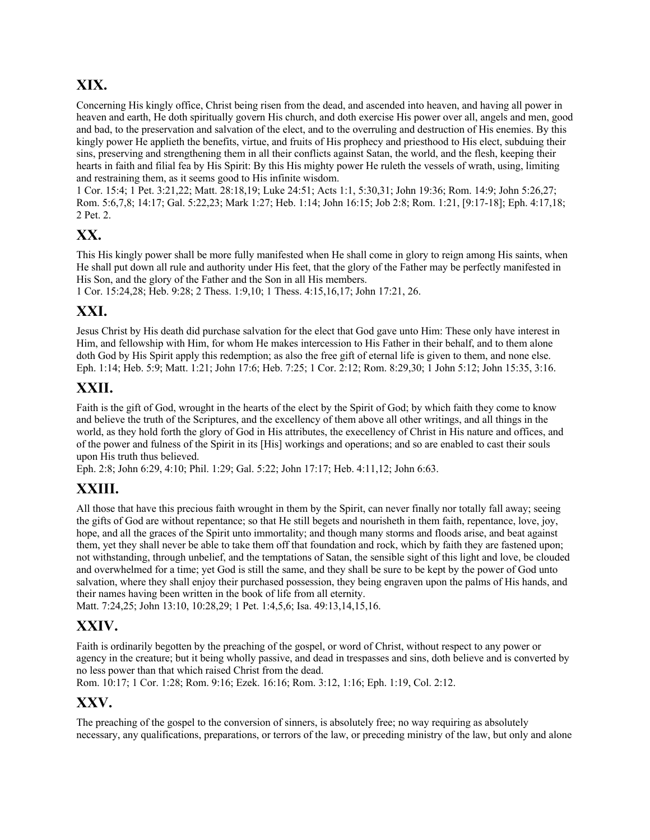## **XIX.**

Concerning His kingly office, Christ being risen from the dead, and ascended into heaven, and having all power in heaven and earth, He doth spiritually govern His church, and doth exercise His power over all, angels and men, good and bad, to the preservation and salvation of the elect, and to the overruling and destruction of His enemies. By this kingly power He applieth the benefits, virtue, and fruits of His prophecy and priesthood to His elect, subduing their sins, preserving and strengthening them in all their conflicts against Satan, the world, and the flesh, keeping their hearts in faith and filial fea by His Spirit: By this His mighty power He ruleth the vessels of wrath, using, limiting and restraining them, as it seems good to His infinite wisdom.

1 Cor. 15:4; 1 Pet. 3:21,22; Matt. 28:18,19; Luke 24:51; Acts 1:1, 5:30,31; John 19:36; Rom. 14:9; John 5:26,27; Rom. 5:6,7,8; 14:17; Gal. 5:22,23; Mark 1:27; Heb. 1:14; John 16:15; Job 2:8; Rom. 1:21, [9:17-18]; Eph. 4:17,18; 2 Pet. 2.

### **XX.**

This His kingly power shall be more fully manifested when He shall come in glory to reign among His saints, when He shall put down all rule and authority under His feet, that the glory of the Father may be perfectly manifested in His Son, and the glory of the Father and the Son in all His members.

1 Cor. 15:24,28; Heb. 9:28; 2 Thess. 1:9,10; 1 Thess. 4:15,16,17; John 17:21, 26.

#### **XXI.**

Jesus Christ by His death did purchase salvation for the elect that God gave unto Him: These only have interest in Him, and fellowship with Him, for whom He makes intercession to His Father in their behalf, and to them alone doth God by His Spirit apply this redemption; as also the free gift of eternal life is given to them, and none else. Eph. 1:14; Heb. 5:9; Matt. 1:21; John 17:6; Heb. 7:25; 1 Cor. 2:12; Rom. 8:29,30; 1 John 5:12; John 15:35, 3:16.

#### **XXII.**

Faith is the gift of God, wrought in the hearts of the elect by the Spirit of God; by which faith they come to know and believe the truth of the Scriptures, and the excellency of them above all other writings, and all things in the world, as they hold forth the glory of God in His attributes, the execellency of Christ in His nature and offices, and of the power and fulness of the Spirit in its [His] workings and operations; and so are enabled to cast their souls upon His truth thus believed.

Eph. 2:8; John 6:29, 4:10; Phil. 1:29; Gal. 5:22; John 17:17; Heb. 4:11,12; John 6:63.

### **XXIII.**

All those that have this precious faith wrought in them by the Spirit, can never finally nor totally fall away; seeing the gifts of God are without repentance; so that He still begets and nourisheth in them faith, repentance, love, joy, hope, and all the graces of the Spirit unto immortality; and though many storms and floods arise, and beat against them, yet they shall never be able to take them off that foundation and rock, which by faith they are fastened upon; not withstanding, through unbelief, and the temptations of Satan, the sensible sight of this light and love, be clouded and overwhelmed for a time; yet God is still the same, and they shall be sure to be kept by the power of God unto salvation, where they shall enjoy their purchased possession, they being engraven upon the palms of His hands, and their names having been written in the book of life from all eternity.

Matt. 7:24,25; John 13:10, 10:28,29; 1 Pet. 1:4,5,6; Isa. 49:13,14,15,16.

### **XXIV.**

Faith is ordinarily begotten by the preaching of the gospel, or word of Christ, without respect to any power or agency in the creature; but it being wholly passive, and dead in trespasses and sins, doth believe and is converted by no less power than that which raised Christ from the dead.

Rom. 10:17; 1 Cor. 1:28; Rom. 9:16; Ezek. 16:16; Rom. 3:12, 1:16; Eph. 1:19, Col. 2:12.

#### **XXV.**

The preaching of the gospel to the conversion of sinners, is absolutely free; no way requiring as absolutely necessary, any qualifications, preparations, or terrors of the law, or preceding ministry of the law, but only and alone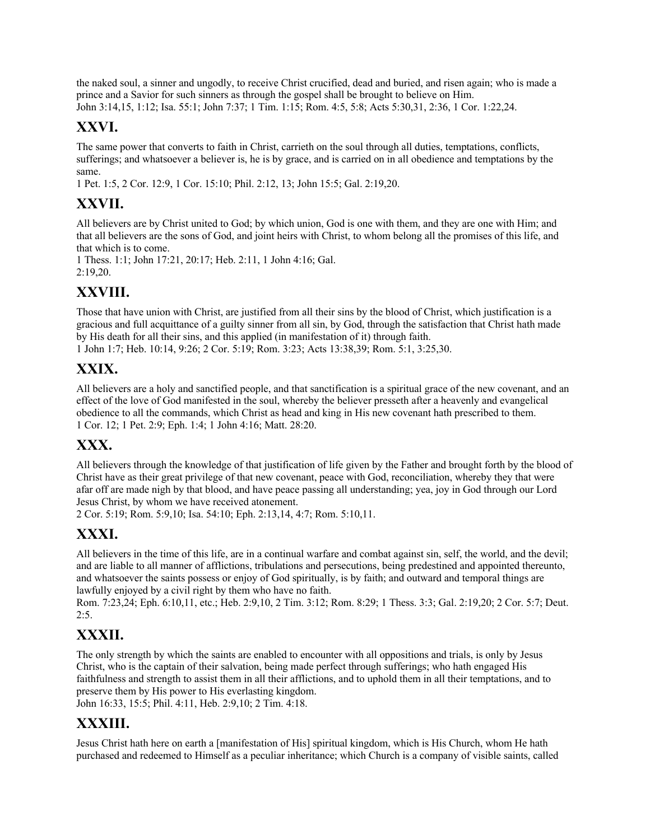the naked soul, a sinner and ungodly, to receive Christ crucified, dead and buried, and risen again; who is made a prince and a Savior for such sinners as through the gospel shall be brought to believe on Him. John 3:14,15, 1:12; Isa. 55:1; John 7:37; 1 Tim. 1:15; Rom. 4:5, 5:8; Acts 5:30,31, 2:36, 1 Cor. 1:22,24.

## **XXVI.**

The same power that converts to faith in Christ, carrieth on the soul through all duties, temptations, conflicts, sufferings; and whatsoever a believer is, he is by grace, and is carried on in all obedience and temptations by the same.

1 Pet. 1:5, 2 Cor. 12:9, 1 Cor. 15:10; Phil. 2:12, 13; John 15:5; Gal. 2:19,20.

## **XXVII.**

All believers are by Christ united to God; by which union, God is one with them, and they are one with Him; and that all believers are the sons of God, and joint heirs with Christ, to whom belong all the promises of this life, and that which is to come.

1 Thess. 1:1; John 17:21, 20:17; Heb. 2:11, 1 John 4:16; Gal. 2:19,20.

### **XXVIII.**

Those that have union with Christ, are justified from all their sins by the blood of Christ, which justification is a gracious and full acquittance of a guilty sinner from all sin, by God, through the satisfaction that Christ hath made by His death for all their sins, and this applied (in manifestation of it) through faith. 1 John 1:7; Heb. 10:14, 9:26; 2 Cor. 5:19; Rom. 3:23; Acts 13:38,39; Rom. 5:1, 3:25,30.

## **XXIX.**

All believers are a holy and sanctified people, and that sanctification is a spiritual grace of the new covenant, and an effect of the love of God manifested in the soul, whereby the believer presseth after a heavenly and evangelical obedience to all the commands, which Christ as head and king in His new covenant hath prescribed to them. 1 Cor. 12; 1 Pet. 2:9; Eph. 1:4; 1 John 4:16; Matt. 28:20.

## **XXX.**

All believers through the knowledge of that justification of life given by the Father and brought forth by the blood of Christ have as their great privilege of that new covenant, peace with God, reconciliation, whereby they that were afar off are made nigh by that blood, and have peace passing all understanding; yea, joy in God through our Lord Jesus Christ, by whom we have received atonement.

2 Cor. 5:19; Rom. 5:9,10; Isa. 54:10; Eph. 2:13,14, 4:7; Rom. 5:10,11.

## **XXXI.**

All believers in the time of this life, are in a continual warfare and combat against sin, self, the world, and the devil; and are liable to all manner of afflictions, tribulations and persecutions, being predestined and appointed thereunto, and whatsoever the saints possess or enjoy of God spiritually, is by faith; and outward and temporal things are lawfully enjoyed by a civil right by them who have no faith.

Rom. 7:23,24; Eph. 6:10,11, etc.; Heb. 2:9,10, 2 Tim. 3:12; Rom. 8:29; 1 Thess. 3:3; Gal. 2:19,20; 2 Cor. 5:7; Deut.  $2:5.$ 

## **XXXII.**

The only strength by which the saints are enabled to encounter with all oppositions and trials, is only by Jesus Christ, who is the captain of their salvation, being made perfect through sufferings; who hath engaged His faithfulness and strength to assist them in all their afflictions, and to uphold them in all their temptations, and to preserve them by His power to His everlasting kingdom.

John 16:33, 15:5; Phil. 4:11, Heb. 2:9,10; 2 Tim. 4:18.

## **XXXIII.**

Jesus Christ hath here on earth a [manifestation of His] spiritual kingdom, which is His Church, whom He hath purchased and redeemed to Himself as a peculiar inheritance; which Church is a company of visible saints, called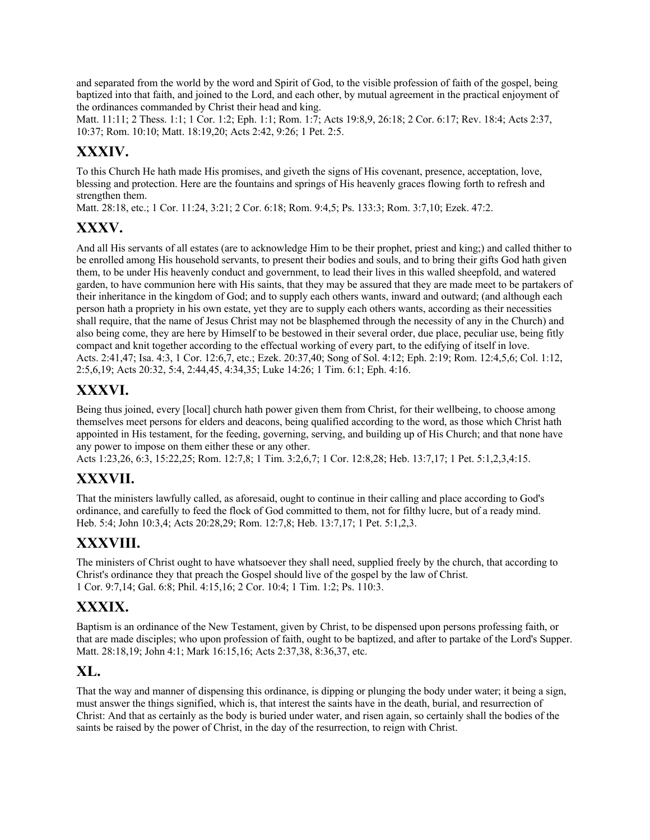and separated from the world by the word and Spirit of God, to the visible profession of faith of the gospel, being baptized into that faith, and joined to the Lord, and each other, by mutual agreement in the practical enjoyment of the ordinances commanded by Christ their head and king.

Matt. 11:11; 2 Thess. 1:1; 1 Cor. 1:2; Eph. 1:1; Rom. 1:7; Acts 19:8,9, 26:18; 2 Cor. 6:17; Rev. 18:4; Acts 2:37, 10:37; Rom. 10:10; Matt. 18:19,20; Acts 2:42, 9:26; 1 Pet. 2:5.

#### **XXXIV.**

To this Church He hath made His promises, and giveth the signs of His covenant, presence, acceptation, love, blessing and protection. Here are the fountains and springs of His heavenly graces flowing forth to refresh and strengthen them.

Matt. 28:18, etc.; 1 Cor. 11:24, 3:21; 2 Cor. 6:18; Rom. 9:4,5; Ps. 133:3; Rom. 3:7,10; Ezek. 47:2.

#### **XXXV.**

And all His servants of all estates (are to acknowledge Him to be their prophet, priest and king;) and called thither to be enrolled among His household servants, to present their bodies and souls, and to bring their gifts God hath given them, to be under His heavenly conduct and government, to lead their lives in this walled sheepfold, and watered garden, to have communion here with His saints, that they may be assured that they are made meet to be partakers of their inheritance in the kingdom of God; and to supply each others wants, inward and outward; (and although each person hath a propriety in his own estate, yet they are to supply each others wants, according as their necessities shall require, that the name of Jesus Christ may not be blasphemed through the necessity of any in the Church) and also being come, they are here by Himself to be bestowed in their several order, due place, peculiar use, being fitly compact and knit together according to the effectual working of every part, to the edifying of itself in love. Acts. 2:41,47; Isa. 4:3, 1 Cor. 12:6,7, etc.; Ezek. 20:37,40; Song of Sol. 4:12; Eph. 2:19; Rom. 12:4,5,6; Col. 1:12, 2:5,6,19; Acts 20:32, 5:4, 2:44,45, 4:34,35; Luke 14:26; 1 Tim. 6:1; Eph. 4:16.

## **XXXVI.**

Being thus joined, every [local] church hath power given them from Christ, for their wellbeing, to choose among themselves meet persons for elders and deacons, being qualified according to the word, as those which Christ hath appointed in His testament, for the feeding, governing, serving, and building up of His Church; and that none have any power to impose on them either these or any other.

Acts 1:23,26, 6:3, 15:22,25; Rom. 12:7,8; 1 Tim. 3:2,6,7; 1 Cor. 12:8,28; Heb. 13:7,17; 1 Pet. 5:1,2,3,4:15.

### **XXXVII.**

That the ministers lawfully called, as aforesaid, ought to continue in their calling and place according to God's ordinance, and carefully to feed the flock of God committed to them, not for filthy lucre, but of a ready mind. Heb. 5:4; John 10:3,4; Acts 20:28,29; Rom. 12:7,8; Heb. 13:7,17; 1 Pet. 5:1,2,3.

#### **XXXVIII.**

The ministers of Christ ought to have whatsoever they shall need, supplied freely by the church, that according to Christ's ordinance they that preach the Gospel should live of the gospel by the law of Christ. 1 Cor. 9:7,14; Gal. 6:8; Phil. 4:15,16; 2 Cor. 10:4; 1 Tim. 1:2; Ps. 110:3.

#### **XXXIX.**

Baptism is an ordinance of the New Testament, given by Christ, to be dispensed upon persons professing faith, or that are made disciples; who upon profession of faith, ought to be baptized, and after to partake of the Lord's Supper. Matt. 28:18,19; John 4:1; Mark 16:15,16; Acts 2:37,38, 8:36,37, etc.

#### **XL.**

That the way and manner of dispensing this ordinance, is dipping or plunging the body under water; it being a sign, must answer the things signified, which is, that interest the saints have in the death, burial, and resurrection of Christ: And that as certainly as the body is buried under water, and risen again, so certainly shall the bodies of the saints be raised by the power of Christ, in the day of the resurrection, to reign with Christ.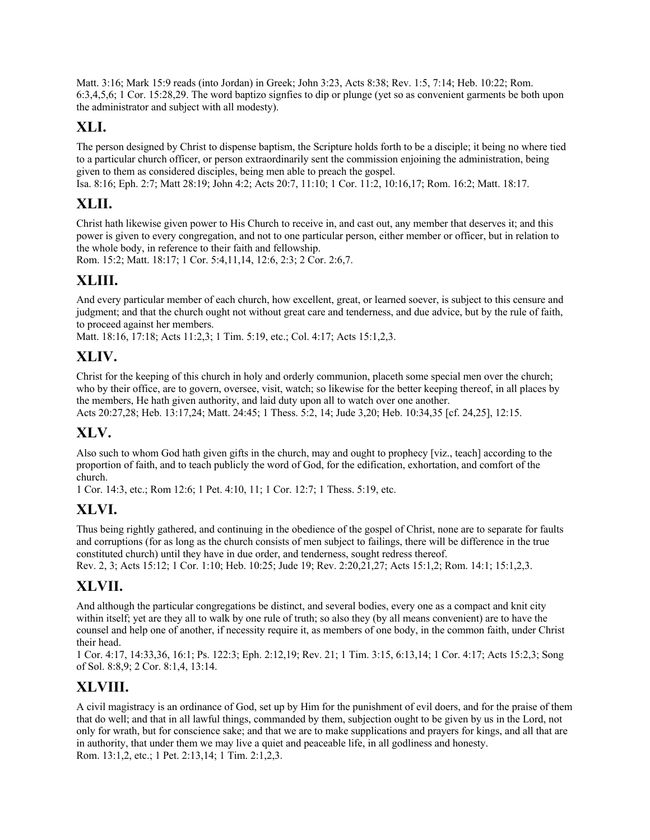Matt. 3:16; Mark 15:9 reads (into Jordan) in Greek; John 3:23, Acts 8:38; Rev. 1:5, 7:14; Heb. 10:22; Rom. 6:3,4,5,6; 1 Cor. 15:28,29. The word baptizo signfies to dip or plunge (yet so as convenient garments be both upon the administrator and subject with all modesty).

## **XLI.**

The person designed by Christ to dispense baptism, the Scripture holds forth to be a disciple; it being no where tied to a particular church officer, or person extraordinarily sent the commission enjoining the administration, being given to them as considered disciples, being men able to preach the gospel.

Isa. 8:16; Eph. 2:7; Matt 28:19; John 4:2; Acts 20:7, 11:10; 1 Cor. 11:2, 10:16,17; Rom. 16:2; Matt. 18:17.

### **XLII.**

Christ hath likewise given power to His Church to receive in, and cast out, any member that deserves it; and this power is given to every congregation, and not to one particular person, either member or officer, but in relation to the whole body, in reference to their faith and fellowship.

Rom. 15:2; Matt. 18:17; 1 Cor. 5:4,11,14, 12:6, 2:3; 2 Cor. 2:6,7.

### **XLIII.**

And every particular member of each church, how excellent, great, or learned soever, is subject to this censure and judgment; and that the church ought not without great care and tenderness, and due advice, but by the rule of faith, to proceed against her members.

Matt. 18:16, 17:18; Acts 11:2,3; 1 Tim. 5:19, etc.; Col. 4:17; Acts 15:1,2,3.

### **XLIV.**

Christ for the keeping of this church in holy and orderly communion, placeth some special men over the church; who by their office, are to govern, oversee, visit, watch; so likewise for the better keeping thereof, in all places by the members, He hath given authority, and laid duty upon all to watch over one another. Acts 20:27,28; Heb. 13:17,24; Matt. 24:45; 1 Thess. 5:2, 14; Jude 3,20; Heb. 10:34,35 [cf. 24,25], 12:15.

### **XLV.**

Also such to whom God hath given gifts in the church, may and ought to prophecy [viz., teach] according to the proportion of faith, and to teach publicly the word of God, for the edification, exhortation, and comfort of the church.

1 Cor. 14:3, etc.; Rom 12:6; 1 Pet. 4:10, 11; 1 Cor. 12:7; 1 Thess. 5:19, etc.

### **XLVI.**

Thus being rightly gathered, and continuing in the obedience of the gospel of Christ, none are to separate for faults and corruptions (for as long as the church consists of men subject to failings, there will be difference in the true constituted church) until they have in due order, and tenderness, sought redress thereof.

Rev. 2, 3; Acts 15:12; 1 Cor. 1:10; Heb. 10:25; Jude 19; Rev. 2:20,21,27; Acts 15:1,2; Rom. 14:1; 15:1,2,3.

### **XLVII.**

And although the particular congregations be distinct, and several bodies, every one as a compact and knit city within itself; yet are they all to walk by one rule of truth; so also they (by all means convenient) are to have the counsel and help one of another, if necessity require it, as members of one body, in the common faith, under Christ their head.

1 Cor. 4:17, 14:33,36, 16:1; Ps. 122:3; Eph. 2:12,19; Rev. 21; 1 Tim. 3:15, 6:13,14; 1 Cor. 4:17; Acts 15:2,3; Song of Sol. 8:8,9; 2 Cor. 8:1,4, 13:14.

### **XLVIII.**

A civil magistracy is an ordinance of God, set up by Him for the punishment of evil doers, and for the praise of them that do well; and that in all lawful things, commanded by them, subjection ought to be given by us in the Lord, not only for wrath, but for conscience sake; and that we are to make supplications and prayers for kings, and all that are in authority, that under them we may live a quiet and peaceable life, in all godliness and honesty. Rom. 13:1,2, etc.; 1 Pet. 2:13,14; 1 Tim. 2:1,2,3.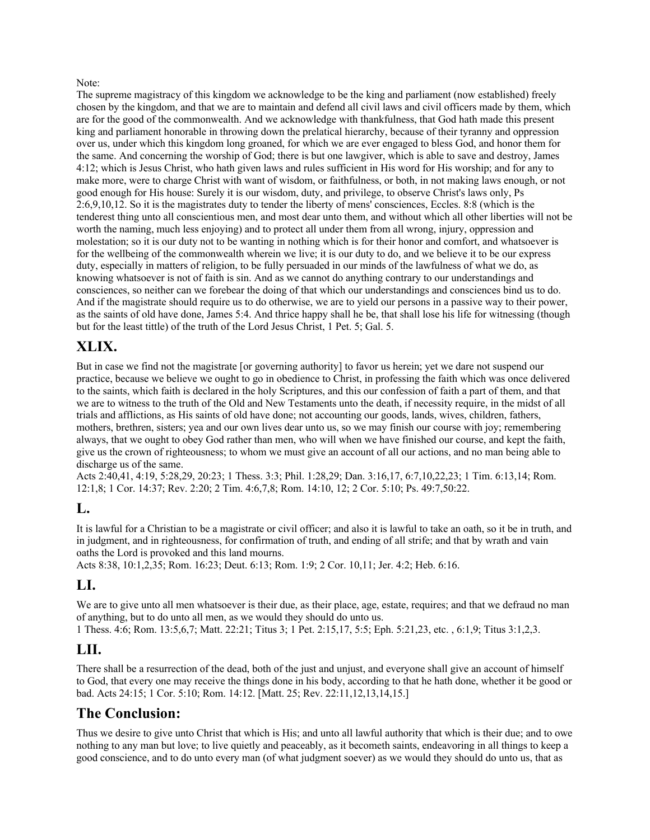#### Note:

The supreme magistracy of this kingdom we acknowledge to be the king and parliament (now established) freely chosen by the kingdom, and that we are to maintain and defend all civil laws and civil officers made by them, which are for the good of the commonwealth. And we acknowledge with thankfulness, that God hath made this present king and parliament honorable in throwing down the prelatical hierarchy, because of their tyranny and oppression over us, under which this kingdom long groaned, for which we are ever engaged to bless God, and honor them for the same. And concerning the worship of God; there is but one lawgiver, which is able to save and destroy, James 4:12; which is Jesus Christ, who hath given laws and rules sufficient in His word for His worship; and for any to make more, were to charge Christ with want of wisdom, or faithfulness, or both, in not making laws enough, or not good enough for His house: Surely it is our wisdom, duty, and privilege, to observe Christ's laws only, Ps 2:6,9,10,12. So it is the magistrates duty to tender the liberty of mens' consciences, Eccles. 8:8 (which is the tenderest thing unto all conscientious men, and most dear unto them, and without which all other liberties will not be worth the naming, much less enjoying) and to protect all under them from all wrong, injury, oppression and molestation; so it is our duty not to be wanting in nothing which is for their honor and comfort, and whatsoever is for the wellbeing of the commonwealth wherein we live; it is our duty to do, and we believe it to be our express duty, especially in matters of religion, to be fully persuaded in our minds of the lawfulness of what we do, as knowing whatsoever is not of faith is sin. And as we cannot do anything contrary to our understandings and consciences, so neither can we forebear the doing of that which our understandings and consciences bind us to do. And if the magistrate should require us to do otherwise, we are to yield our persons in a passive way to their power, as the saints of old have done, James 5:4. And thrice happy shall he be, that shall lose his life for witnessing (though but for the least tittle) of the truth of the Lord Jesus Christ, 1 Pet. 5; Gal. 5.

### **XLIX.**

But in case we find not the magistrate [or governing authority] to favor us herein; yet we dare not suspend our practice, because we believe we ought to go in obedience to Christ, in professing the faith which was once delivered to the saints, which faith is declared in the holy Scriptures, and this our confession of faith a part of them, and that we are to witness to the truth of the Old and New Testaments unto the death, if necessity require, in the midst of all trials and afflictions, as His saints of old have done; not accounting our goods, lands, wives, children, fathers, mothers, brethren, sisters; yea and our own lives dear unto us, so we may finish our course with joy; remembering always, that we ought to obey God rather than men, who will when we have finished our course, and kept the faith, give us the crown of righteousness; to whom we must give an account of all our actions, and no man being able to discharge us of the same.

Acts 2:40,41, 4:19, 5:28,29, 20:23; 1 Thess. 3:3; Phil. 1:28,29; Dan. 3:16,17, 6:7,10,22,23; 1 Tim. 6:13,14; Rom. 12:1,8; 1 Cor. 14:37; Rev. 2:20; 2 Tim. 4:6,7,8; Rom. 14:10, 12; 2 Cor. 5:10; Ps. 49:7,50:22.

#### **L.**

It is lawful for a Christian to be a magistrate or civil officer; and also it is lawful to take an oath, so it be in truth, and in judgment, and in righteousness, for confirmation of truth, and ending of all strife; and that by wrath and vain oaths the Lord is provoked and this land mourns.

Acts 8:38, 10:1,2,35; Rom. 16:23; Deut. 6:13; Rom. 1:9; 2 Cor. 10,11; Jer. 4:2; Heb. 6:16.

### **LI.**

We are to give unto all men whatsoever is their due, as their place, age, estate, requires; and that we defraud no man of anything, but to do unto all men, as we would they should do unto us.

1 Thess. 4:6; Rom. 13:5,6,7; Matt. 22:21; Titus 3; 1 Pet. 2:15,17, 5:5; Eph. 5:21,23, etc. , 6:1,9; Titus 3:1,2,3.

### **LII.**

There shall be a resurrection of the dead, both of the just and unjust, and everyone shall give an account of himself to God, that every one may receive the things done in his body, according to that he hath done, whether it be good or bad. Acts 24:15; 1 Cor. 5:10; Rom. 14:12. [Matt. 25; Rev. 22:11,12,13,14,15.]

### **The Conclusion:**

Thus we desire to give unto Christ that which is His; and unto all lawful authority that which is their due; and to owe nothing to any man but love; to live quietly and peaceably, as it becometh saints, endeavoring in all things to keep a good conscience, and to do unto every man (of what judgment soever) as we would they should do unto us, that as